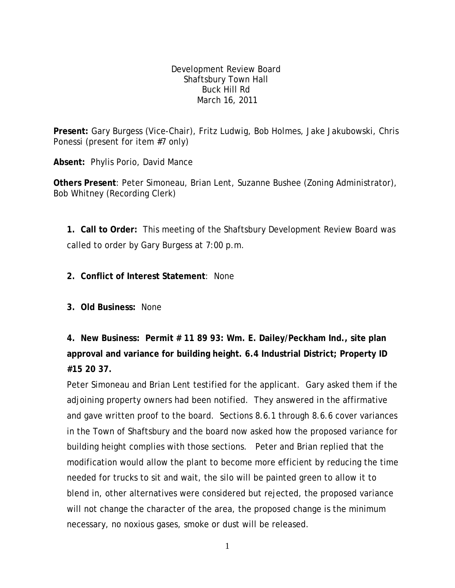Development Review Board Shaftsbury Town Hall Buck Hill Rd March 16, 2011

**Present:** Gary Burgess (Vice-Chair), Fritz Ludwig, Bob Holmes, Jake Jakubowski, Chris Ponessi (present for item #7 only)

**Absent:** Phylis Porio, David Mance

**Others Present**: Peter Simoneau, Brian Lent, Suzanne Bushee (Zoning Administrator), Bob Whitney (Recording Clerk)

**1. Call to Order:** This meeting of the Shaftsbury Development Review Board was called to order by Gary Burgess at 7:00 p.m.

**2. Conflict of Interest Statement**: None

**3. Old Business:** None

**4. New Business: Permit # 11 89 93: Wm. E. Dailey/Peckham Ind., site plan approval and variance for building height. 6.4 Industrial District; Property ID #15 20 37.**

Peter Simoneau and Brian Lent testified for the applicant. Gary asked them if the adjoining property owners had been notified. They answered in the affirmative and gave written proof to the board. Sections 8.6.1 through 8.6.6 cover variances in the Town of Shaftsbury and the board now asked how the proposed variance for building height complies with those sections. Peter and Brian replied that the modification would allow the plant to become more efficient by reducing the time needed for trucks to sit and wait, the silo will be painted green to allow it to blend in, other alternatives were considered but rejected, the proposed variance will not change the character of the area, the proposed change is the minimum necessary, no noxious gases, smoke or dust will be released.

1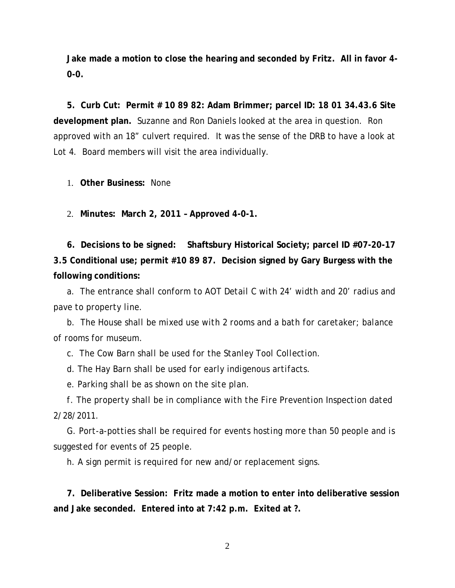**Jake made a motion to close the hearing and seconded by Fritz. All in favor 4- 0-0.**

**5. Curb Cut: Permit # 10 89 82: Adam Brimmer; parcel ID: 18 01 34.43.6 Site development plan.** Suzanne and Ron Daniels looked at the area in question. Ron approved with an 18" culvert required. It was the sense of the DRB to have a look at Lot 4. Board members will visit the area individually.

1. **Other Business:** None

2. **Minutes: March 2, 2011 – Approved 4-0-1.**

**6. Decisions to be signed: Shaftsbury Historical Society; parcel ID #07-20-17 3.5 Conditional use; permit #10 89 87. Decision signed by Gary Burgess with the following conditions:**

*a. The entrance shall conform to AOT Detail C with 24' width and 20' radius and pave to property line.*

*b. The House shall be mixed use with 2 rooms and a bath for caretaker; balance of rooms for museum.*

*c. The Cow Barn shall be used for the Stanley Tool Collection.*

*d. The Hay Barn shall be used for early indigenous artifacts.*

*e. Parking shall be as shown on the site plan.*

*f. The property shall be in compliance with the Fire Prevention Inspection dated 2/28/2011.*

*G. Port-a-potties shall be required for events hosting more than 50 people and is suggested for events of 25 people.*

*h. A sign permit is required for new and/or replacement signs.*

**7. Deliberative Session: Fritz made a motion to enter into deliberative session and Jake seconded. Entered into at 7:42 p.m. Exited at ?.**

2